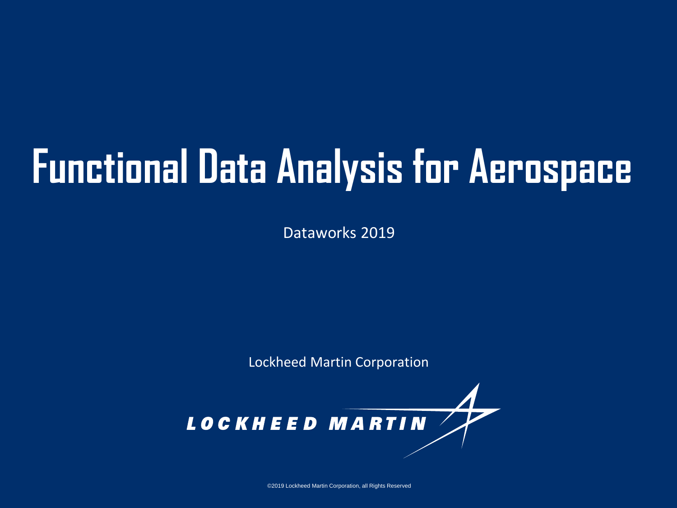# **Functional Data Analysis for Aerospace**

Dataworks 2019

Lockheed Martin Corporation



©2019 Lockheed Martin Corporation, all Rights Reserved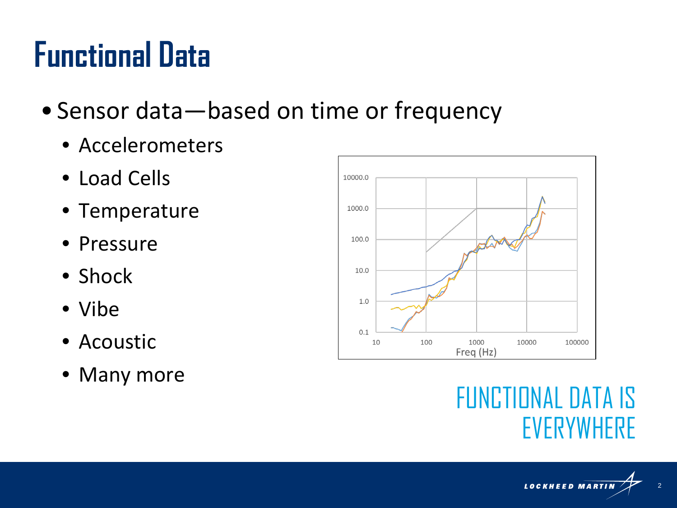#### **Functional Data**

- Sensor data—based on time or frequency
	- Accelerometers
	- Load Cells
	- Temperature
	- Pressure
	- Shock
	- Vibe
	- Acoustic
	- Many more



#### FUNCTIONAL DATA IS EVERYWHERE

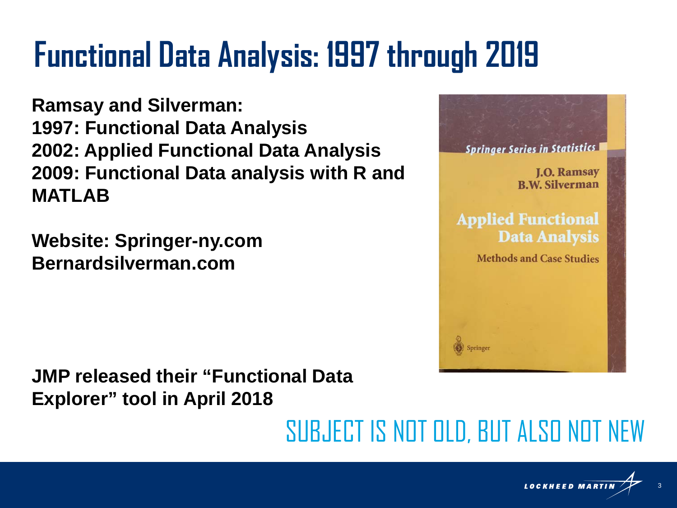## **Functional Data Analysis: 1997 through 2019**

**Ramsay and Silverman: 1997: Functional Data Analysis 2002: Applied Functional Data Analysis 2009: Functional Data analysis with R and MATLAB**

**Website: Springer-ny.com Bernardsilverman.com**

**JMP released their "Functional Data Explorer" tool in April 2018**

SUBJECT IS NOT OLD, BUT ALSO NOT NEW



**Springer Series in Statistics** 

**Applied Functional** 

**Data Analysis** 

Methods and Case Studies

**I.O. Ramsay R.W. Silverman**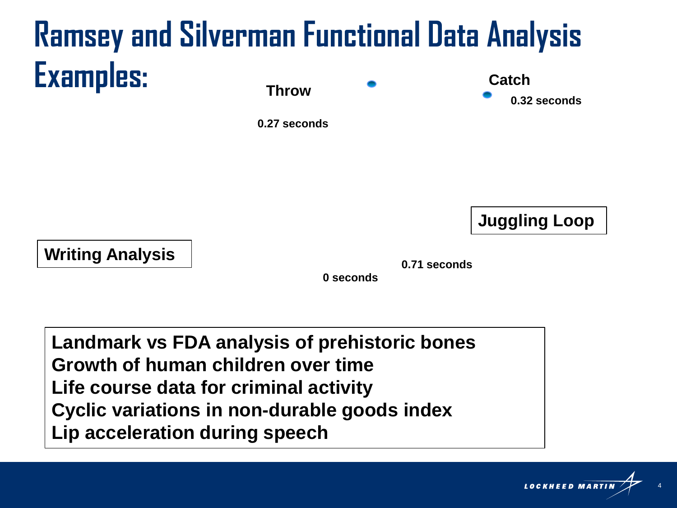#### **Ramsey and Silverman Functional Data Analysis Examples: Throw Catch 0.32 seconds**

**0.27 seconds**

**Juggling Loop**

**0.71 seconds Writing Analysis**

**0 seconds**

**Landmark vs FDA analysis of prehistoric bones Growth of human children over time Life course data for criminal activity Cyclic variations in non-durable goods index Lip acceleration during speech**

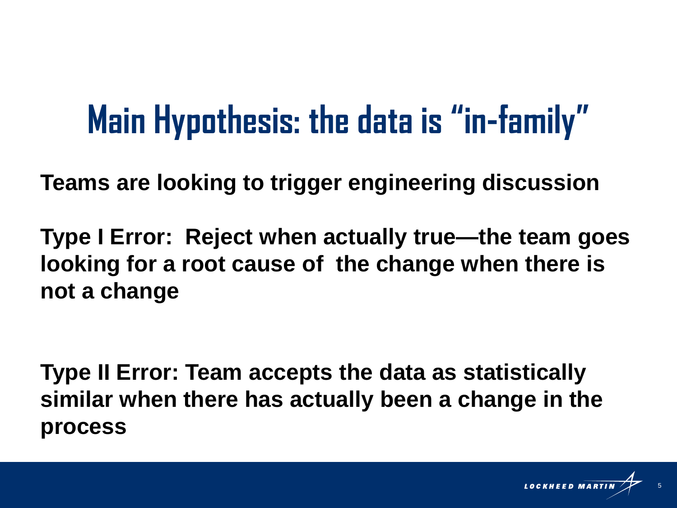## **Main Hypothesis: the data is "in-family"**

**Teams are looking to trigger engineering discussion**

**Type I Error: Reject when actually true—the team goes looking for a root cause of the change when there is not a change**

**Type II Error: Team accepts the data as statistically similar when there has actually been a change in the process** 

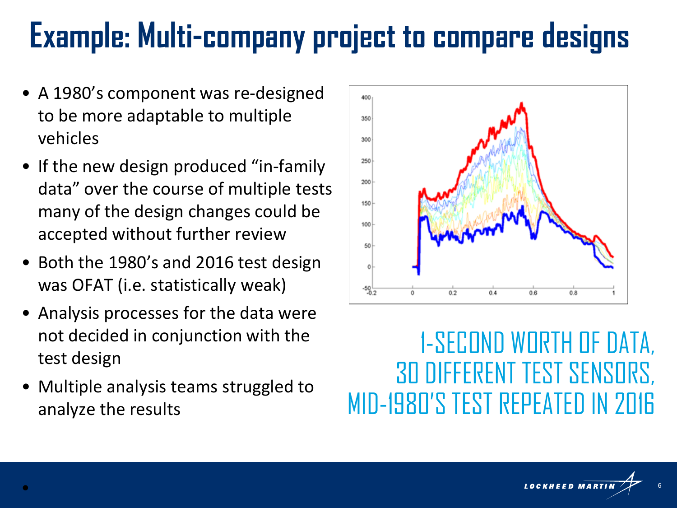#### **Example: Multi-company project to compare designs**

- A 1980's component was re-designed to be more adaptable to multiple vehicles
- If the new design produced "in-family" data" over the course of multiple tests many of the design changes could be accepted without further review
- Both the 1980's and 2016 test design was OFAT (i.e. statistically weak)
- Analysis processes for the data were not decided in conjunction with the test design
- Multiple analysis teams struggled to analyze the results



#### 1-SECOND WORTH OF DATA, 30 DIFFERENT TEST SENSORS, MID-1980'S TEST REPEATED IN 2016

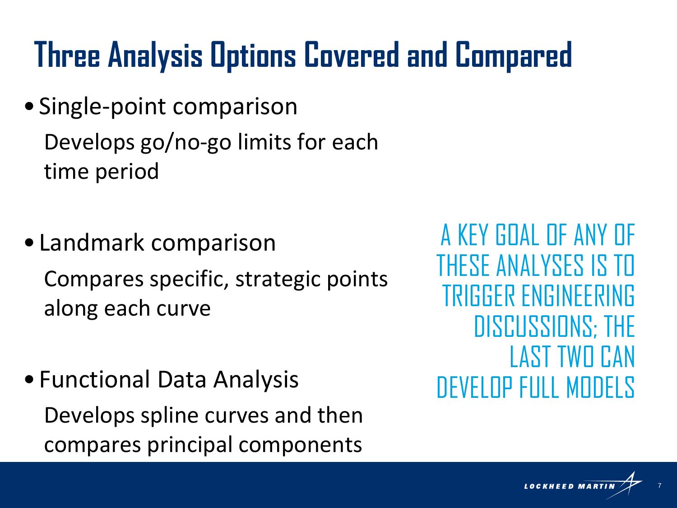## **Three Analysis Options Covered and Compared**

- Single-point comparison Develops go/no-go limits for each time period
- Landmark comparison Compares specific, strategic points along each curve
- Functional Data Analysis Develops spline curves and then compares principal components

A KEY GOAL OF ANY OF THESE ANALYSES IS TO TRIGGER ENGINEERING DISCUSSIONS; THE LAST TWO CAN DEVELOP FULL MODELS

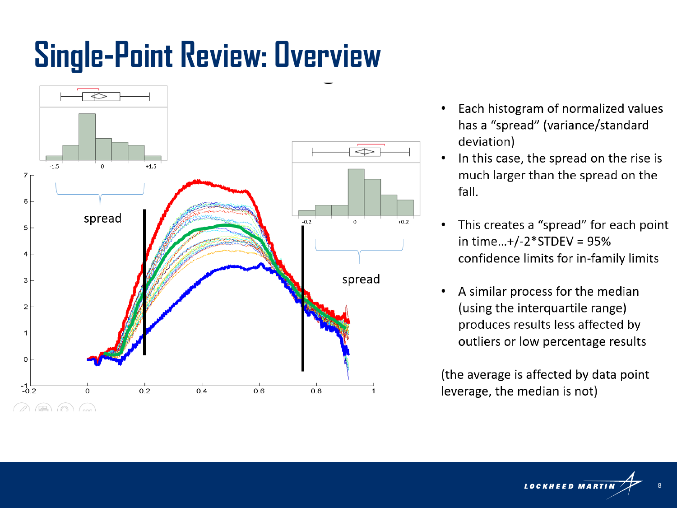### **Single-Point Review: Overview**



- Each histogram of normalized values has a "spread" (variance/standard deviation)
- In this case, the spread on the rise is much larger than the spread on the fall.
- This creates a "spread" for each point in time...+/-2\*STDEV =  $95%$ confidence limits for in-family limits
- A similar process for the median (using the interquartile range) produces results less affected by outliers or low percentage results

(the average is affected by data point) leverage, the median is not)

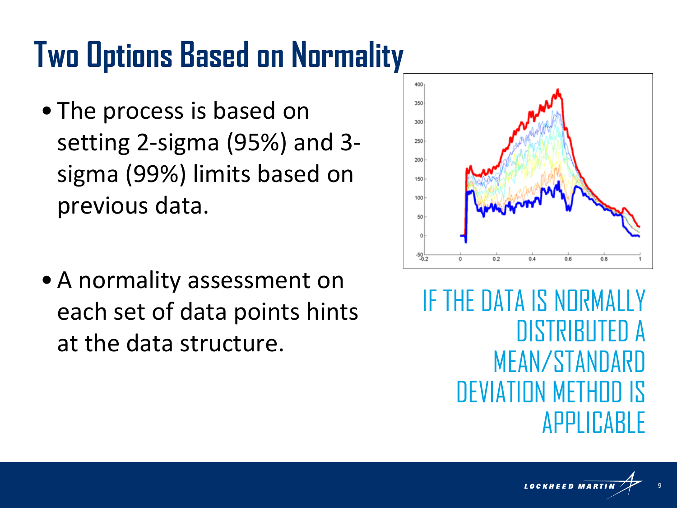#### **Two Options Based on Normality**

- The process is based on setting 2-sigma (95%) and 3 sigma (99%) limits based on previous data.
- •A normality assessment on each set of data points hints at the data structure.



IF THE DATA IS NORMALLY DISTRIBUTED A MEAN/STANDARD DEVIATION METHOD IS APPLICABLE

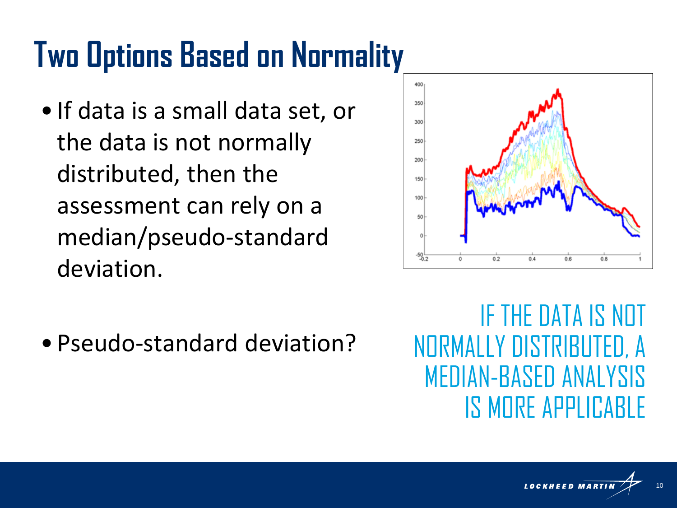### **Two Options Based on Normality**

• If data is a small data set, or the data is not normally distributed, then the assessment can rely on a median/pseudo-standard deviation.



•Pseudo-standard deviation?

IF THE DATA IS NOT NORMALLY DISTRIBUTED, A MEDIAN-BASED ANALYSIS IS MORE APPLICABLE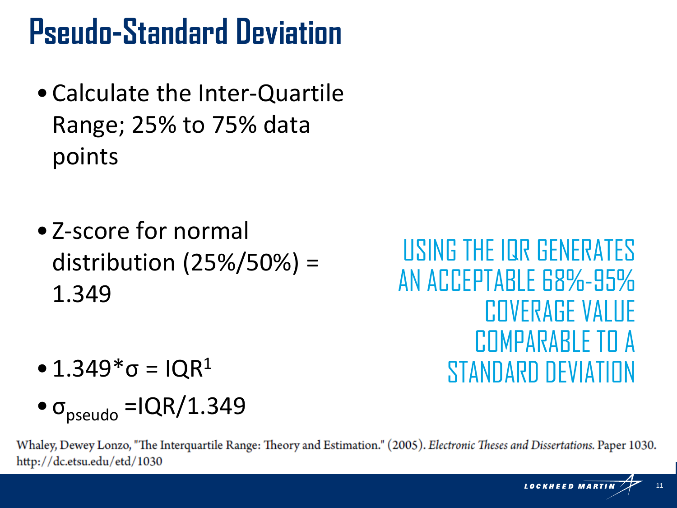#### **Pseudo-Standard Deviation**

- •Calculate the Inter-Quartile Range; 25% to 75% data points
- Z-score for normal distribution (25%/50%) = 1.349

USING THE IQR GENERATES AN ACCEPTABLE 68%-95% COVERAGE VALUE COMPARABLE TO A STANDARD DEVIATION

- 1.349 $*$ σ = IQR<sup>1</sup>
- $\bullet$   $\sigma_{pseudo} = IQR/1.349$

Whaley, Dewey Lonzo, "The Interquartile Range: Theory and Estimation." (2005). Electronic Theses and Dissertations. Paper 1030. http://dc.etsu.edu/etd/1030

> LOCKHEED MARTIN 11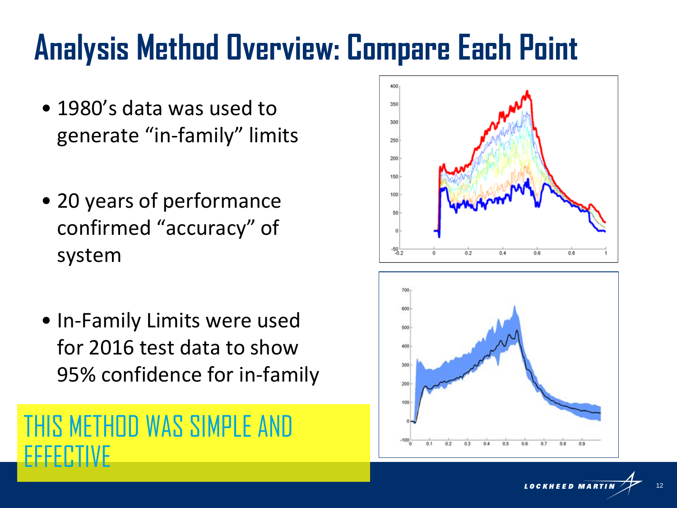#### **Analysis Method Overview: Compare Each Point**

- 1980's data was used to generate "in-family" limits
- 20 years of performance confirmed "accuracy" of system
- In-Family Limits were used for 2016 test data to show 95% confidence for in-family





 $0.5$ 

0.6

 $0.2$ 

**LOCKHEED MARTIN** 12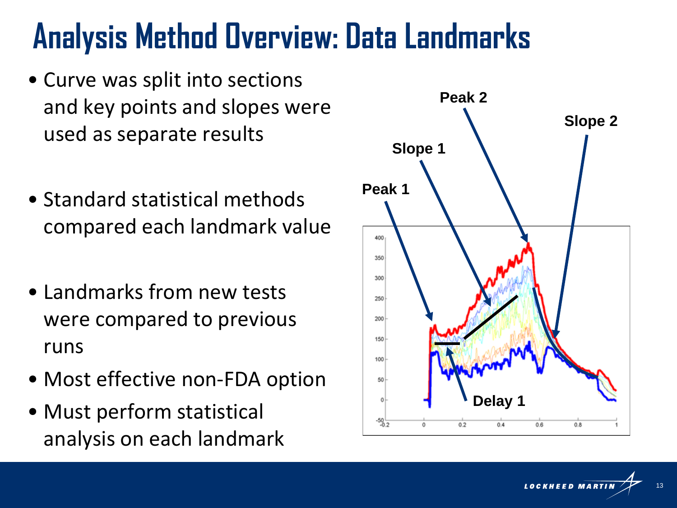#### **Analysis Method Overview: Data Landmarks**

- Curve was split into sections and key points and slopes were used as separate results
- Standard statistical methods compared each landmark value
- Landmarks from new tests were compared to previous runs
- Most effective non-FDA option
- Must perform statistical analysis on each landmark



**LOCKHEED MARTIN** 13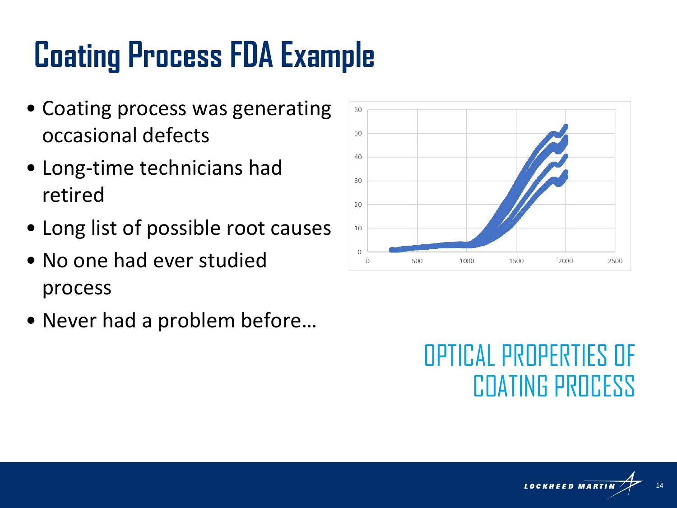## **Coating Process FDA Example**

- Coating process was generating occasional defects
- Long-time technicians had retired
- Long list of possible root causes
- No one had ever studied process
- Never had a problem before…



#### OPTICAL PROPERTIES OF COATING PROCESS

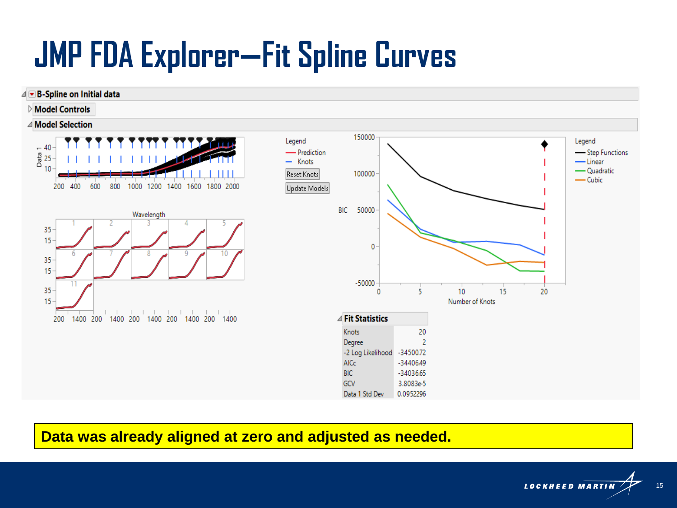### **JMP FDA Explorer—Fit Spline Curves**



#### **Data was already aligned at zero and adjusted as needed.**

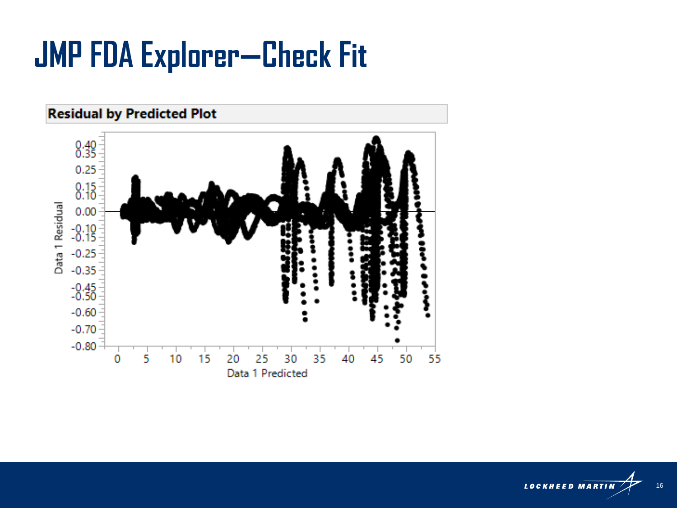#### **JMP FDA Explorer-Check Fit**



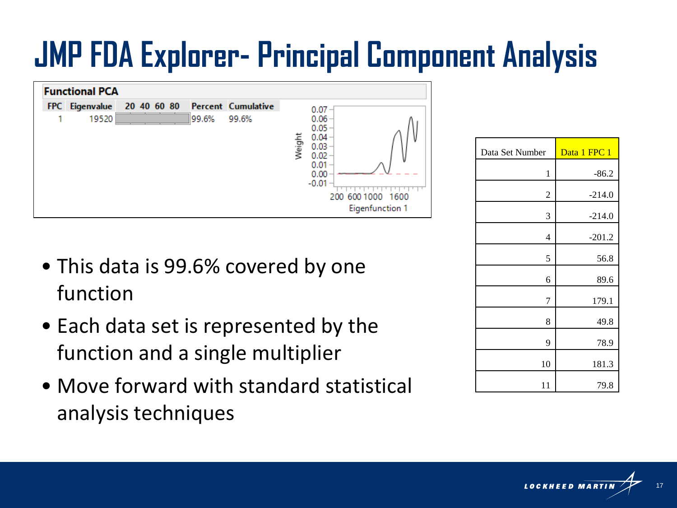### **JMP FDA Explorer- Principal Component Analysis**



- This data is 99.6% covered by one function
- Each data set is represented by the function and a single multiplier
- Move forward with standard statistical analysis techniques

| Data Set Number | Data 1 FPC 1 |
|-----------------|--------------|
| 1               | $-86.2$      |
| 2               | $-214.0$     |
| 3               | $-214.0$     |
| $\overline{4}$  | $-201.2$     |
| 5               | 56.8         |
| 6               | 89.6         |
| 7               | 179.1        |
| 8               | 49.8         |
| 9               | 78.9         |
| 10              | 181.3        |
| 11              | 79.8         |

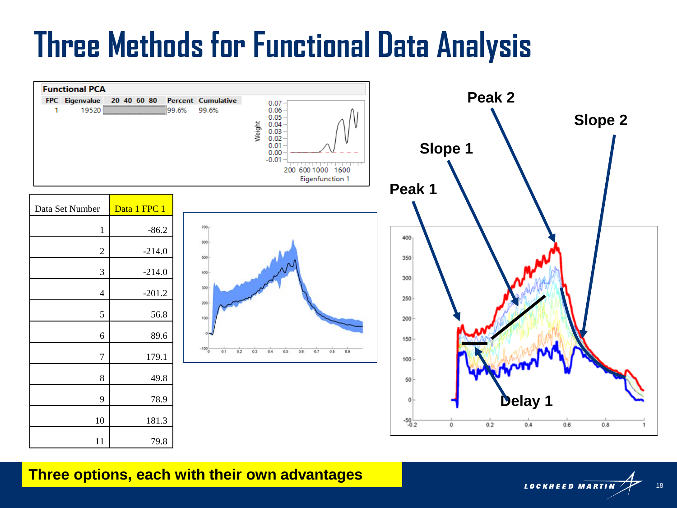#### **Three Methods for Functional Data Analysis**



#### **Three options, each with their own advantages**

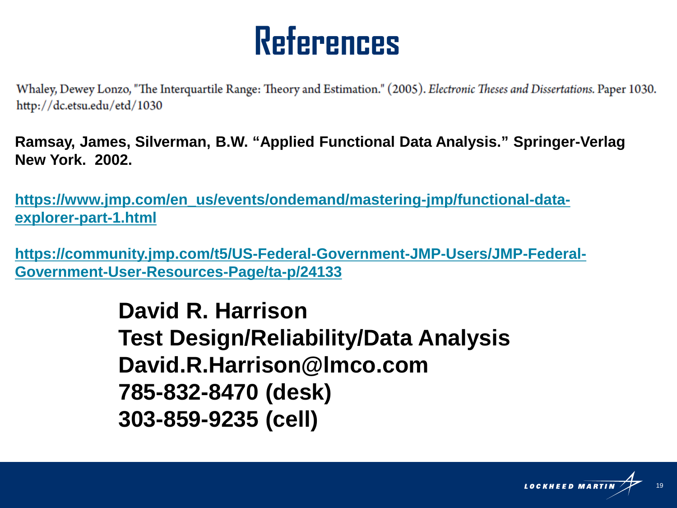#### **References**

Whaley, Dewey Lonzo, "The Interguartile Range: Theory and Estimation." (2005). Electronic Theses and Dissertations. Paper 1030. http://dc.etsu.edu/etd/1030

**Ramsay, James, Silverman, B.W. "Applied Functional Data Analysis." Springer-Verlag New York. 2002.** 

**[https://www.jmp.com/en\\_us/events/ondemand/mastering-jmp/functional-data](https://www.jmp.com/en_us/events/ondemand/mastering-jmp/functional-data-explorer-part-1.html)explorer-part-1.html**

**[https://community.jmp.com/t5/US-Federal-Government-JMP-Users/JMP-Federal-](https://community.jmp.com/t5/US-Federal-Government-JMP-Users/JMP-Federal-Government-User-Resources-Page/ta-p/24133)Government-User-Resources-Page/ta-p/24133**

> **David R. Harrison Test Design/Reliability/Data Analysis David.R.Harrison@lmco.com 785-832-8470 (desk) 303-859-9235 (cell)**